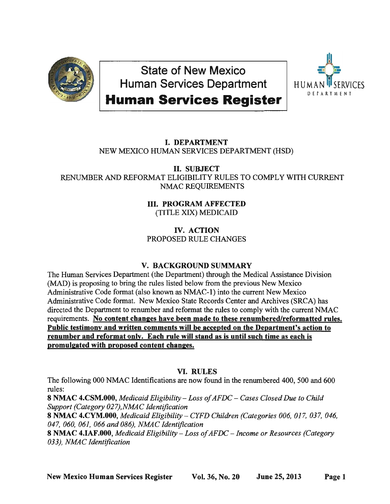

State of New Mexico Human Services Department



# **Human Services Register**

### I. DEPARTMENT NEW MEXICO HUMAN SERVICES DEPARTMENT (HSD)

II. SUBJECT RENUMBER AND REFORMAT ELIGIBILITY RULES TO COMPLY WITH CURRENT NMAC REQUIREMENTS

## III. PROGRAM AFFECTED (TITLE XIX) MEDICAID

## IV. ACTION PROPOSED RULE CHANGES

## V. BACKGROUND SUMMARY

The Human Services Department (the Department) through the Medical Assistance Division (MAD) is proposing to bring the rules listed below from the previous New Mexico Administrative Code format (also known as NMAC-I) into the current New Mexico Administrative Code format. New Mexico State Records Center and Archives (SRCA) has directed the Department to renumber and reformat the rules to comply with the current NMAC requirements. No content changes have been made to these renumbered/reformatted rules. Public testimony and written comments will be accepted on the Department's action to renumber and reformat only. Each rule will stand as is until such time as each is promulgated with proposed content changes.

## VI. RULES

The following 000 NMAC Identifications are now found in the renumbered 400, 500 and 600 rules:

8 NMAC 4.CSM.000, *Medicaid Eligibility - Loss of AFDC - Cases Closed Due to Child Support (Category 027),NMAC Identification* 

8 NMAC 4.CYM.000, *Medicaid Eligibility - CYFD Children (Categories 006, 017, 037, 046, 047, 060, 061, 066 and 086), NMAC Identification* 

8 NMAC 4.IAF.000, *Medicaid Eligibility* - *Loss of AFDC* - *Income or Resources (Category 033), NMAC Identification*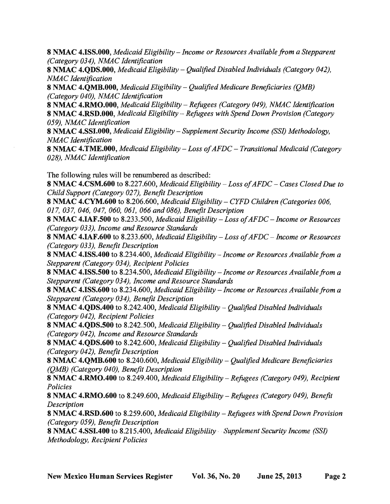8 **NMAC 4.ISS.000**, *Medicaid Eligibility – Income or Resources Available from a Stepparent (Category 034), NMAC Identification* 

8 NMAC 4.QDS.000, *Medicaid Eligibility – Qualified Disabled Individuals (Category 042)*, *NMAC Identification* 

8 NMAC 4.QMB.000, *Medicaid Eligibility – Qualified Medicare Beneficiaries (QMB) (Category 040), NMAC Identification* 

8 NMAC 4.RMO.000, *Medicaid Eligibility – Refugees (Category 049), NMAC Identification* 8 NMAC 4.RSD.000, *Medicaid Eligibility – Refugees with Spend Down Provision (Category 059), NMAC Identification* 

8 NMAC 4.SSI.000, *Medicaid Eligibility* - *Supplement Security Income (SS1) Methodology, NMAC Identification* 

8 NMAC 4.TME.000, *Medicaid Eligibility* - *Loss of AFDC* - *Transitional Medicaid (Category 028), NMAC Identification* 

The following rules will be renumbered as described:

8 NMAC 4.CSM.600 to 8.227.600, *Medicaid Eligibility* - *Loss of AFDC* - *Cases Closed Due to Child Support (Category 027), Benefit Description* 

8 NMAC 4.CYM.600 to 8.206.600, *Medicaid Eligibility – CYFD Children (Categories 006, 017, 037, 046, 047, 060, 061, 066 and 086), Benefit Description* 

8 NMAC 4.IAF.500 to 8.233.500, *Medicaid Eligibility* - *Loss of AFDC* - *Income or Resources (Category 033), Income and Resource Standards* 

8 NMAC 4.IAF.600 to 8.233.600, *Medicaid Eligibility* - *Loss of AFDC* - *Income or Resources (Category 033), Benefit Description* 

8 NMAC 4.ISS.400 to 8.234.400, *Medicaid Eligibility - Income or Resources Available from a Stepparent (Category 034), Recipient Policies* 

8 NMAC 4.ISS.500 to 8.234.500, *Medicaid Eligibility - Income or Resources Available from a Stepparent (Category 034), Income and Resource Standards* 

8 NMAC 4.ISS.600 to 8.234.600, *Medicaid Eligibility - Income or Resources Available from a Stepparent (Category 034), Benefit Description* 

8 **NMAC 4.QDS.400** to 8.242.400, *Medicaid Eligibility – Qualified Disabled Individuals (Category 042), Recipient Policies* 

8 NMAC 4.QDS.500 to 8.242.500, *Medicaid Eligibility – Qualified Disabled Individuals (Category 042), Income and Resource Standards* 

8 NMAC 4.QDS.600 to 8.242.600, *Medicaid Eligibility - Qualified Disabled Individuals (Category 042), Benefit Description* 

8 NMAC 4.QMB.600 to 8.240.600, *Medicaid Eligibility – Qualified Medicare Beneficiaries (QMB) (Category 040), Benefit Description* 

8 NMAC 4.RMO.400 to 8.249.400, *Medicaid Eligibility - Refugees (Category 049)*, *Recipient Policies* 

8 NMAC 4.RMO.600 to 8.249.600, *Medicaid Eligibility – Refugees (Category 049)*, *Benefit Description* 

8 NMAC 4.RSD.600 to 8.259.600, *Medicaid Eligibility – Refugees with Spend Down Provision (Category 059), Benefit Description* 

8 NMAC 4.SSI.400 to 8.215.400, *Medicaid Eligibility* - *Supplement Security Income (SS1) Methodology, Recipient Policies*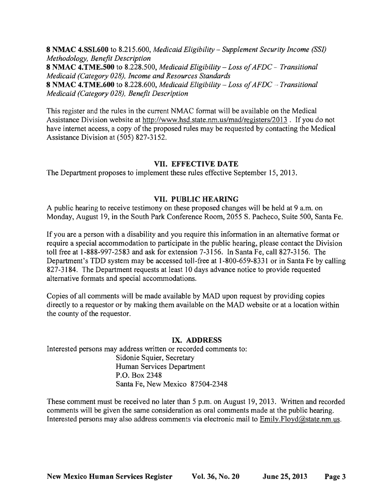8 NMAC 4.SSI.600 to 8.215.600, *Medicaid Eligibility* - *Supplement Security Income (SSl) Methodology, Benefit Description*  8 NMAC 4.TME.500 to 8.228.500, *Medicaid Eligibility* - *Loss of AFDC* - *Transitional Medicaid (Category 028), Income and Resources Standards*  8 NMAC 4.TME.600 to 8.228.600, *Medicaid Eligibility* - *Loss of AFDC* - *Transitional Medicaid (Category 028), Benefit Description* 

This register and the rules in the current NMAC format will be available on the Medical Assistance Division website at http://www.hsd.state.nm.us/mad/registers/2013. If you do not have internet access, a copy of the proposed rules may be requested by contacting the Medical Assistance Division at (505) 827-3152.

#### VII. EFFECTIVE DATE

The Department proposes to implement these rules effective September 15,2013.

#### VII. PUBLIC HEARING

A public hearing to receive testimony on these proposed changes will be held at 9 a.m. on Monday, August 19, in the South Park Conference Room, 2055 S. Pacheco, Suite 500, Santa Fe.

If you are a person with a disability and you require this information in an alternative format or require a special accommodation to participate in the public hearing, please contact the Division toll free at 1-888-997-2583 and ask for extension 7-3156. In Santa Fe, call 827-3156. The Department's TDD system may be accessed toll-free at 1-800-659-8331 or in Santa Fe by calling 827 -3184. The Department requests at least 10 days advance notice to provide requested alternative fonnats and special accommodations.

Copies of all comments will be made available by MAD upon request by providing copies directly to a requestor or by making them available on the MAD website or at a location within the county of the requestor.

#### IX. ADDRESS

Interested persons may address written or recorded comments to: Sidonie Squier, Secretary Human Services Department P.O. Box 2348 Santa Fe, New Mexico 87504-2348

These comment must be received no later than 5 p.m. on August 19,2013. Written and recorded comments will be given the same consideration as oral comments made at the public hearing. Interested persons may also address comments via electronic mail to Emily.Floyd@state.nm.us.